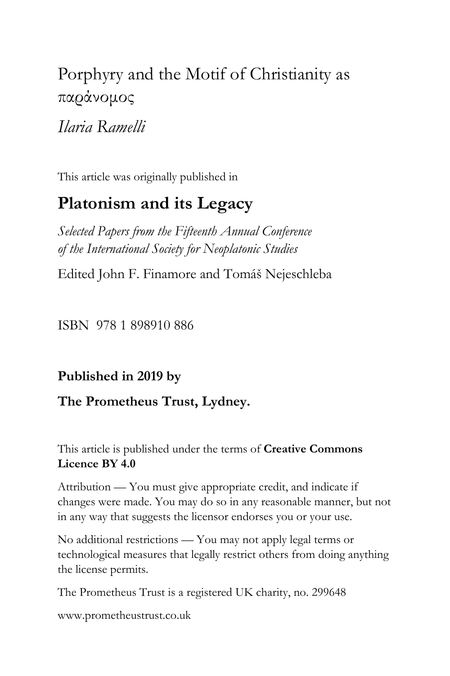# Porphyry and the Motif of Christianity as παράνομος

## *Ilaria Ramelli*

This article was originally published in

## **Platonism and its Legacy**

*Selected Papers from the Fifteenth Annual Conference of the International Society for Neoplatonic Studies*

Edited John F. Finamore and Tomáš Nejeschleba

ISBN 978 1 898910 886

## **Published in 2019 by**

## **The Prometheus Trust, Lydney.**

#### This article is published under the terms of **Creative Commons Licence BY 4.0**

Attribution — You must give appropriate credit, and indicate if changes were made. You may do so in any reasonable manner, but not in any way that suggests the licensor endorses you or your use.

No additional restrictions — You may not apply legal terms or technological measures that legally restrict others from doing anything the license permits.

The Prometheus Trust is a registered UK charity, no. 299648

[www.prometheustrust.co.uk](http://www.prometheustrust.co.uk/)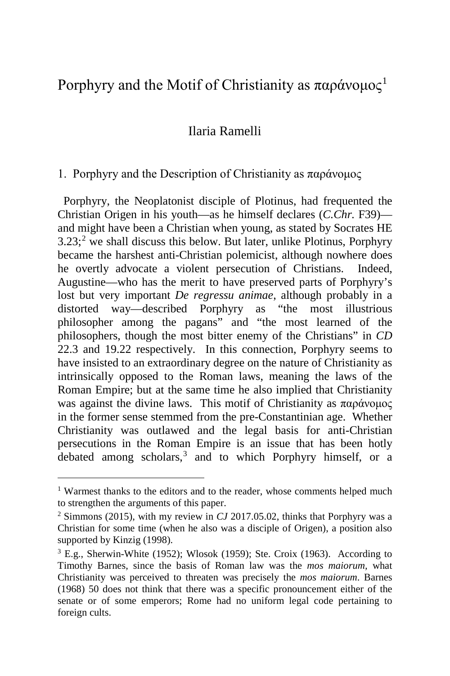## Porphyry and the Motif of Christianity as παράνομος<sup>[1](#page-1-0)</sup>

#### Ilaria Ramelli

#### 1. Porphyry and the Description of Christianity as παράνομος

 Porphyry, the Neoplatonist disciple of Plotinus, had frequented the Christian Origen in his youth—as he himself declares (*C.Chr.* F39) and might have been a Christian when young, as stated by Socrates HE  $3.23$  $3.23$  $3.23$ ;<sup>2</sup> we shall discuss this below. But later, unlike Plotinus, Porphyry became the harshest anti-Christian polemicist, although nowhere does he overtly advocate a violent persecution of Christians. Indeed, Augustine—who has the merit to have preserved parts of Porphyry's lost but very important *De regressu animae*, although probably in a distorted way—described Porphyry as "the most illustrious philosopher among the pagans" and "the most learned of the philosophers, though the most bitter enemy of the Christians" in *CD* 22.3 and 19.22 respectively. In this connection, Porphyry seems to have insisted to an extraordinary degree on the nature of Christianity as intrinsically opposed to the Roman laws, meaning the laws of the Roman Empire; but at the same time he also implied that Christianity was against the divine laws. This motif of Christianity as παράνομος in the former sense stemmed from the pre-Constantinian age. Whether Christianity was outlawed and the legal basis for anti-Christian persecutions in the Roman Empire is an issue that has been hotly debated among scholars,<sup>[3](#page-1-2)</sup> and to which Porphyry himself, or a

<span id="page-1-0"></span><sup>&</sup>lt;sup>1</sup> Warmest thanks to the editors and to the reader, whose comments helped much to strengthen the arguments of this paper.

<span id="page-1-1"></span><sup>2</sup> Simmons (2015), with my review in *CJ* 2017.05.02, thinks that Porphyry was a Christian for some time (when he also was a disciple of Origen), a position also supported by Kinzig (1998).

<span id="page-1-2"></span> $3$  E.g., Sherwin-White (1952); Wlosok (1959); Ste. Croix (1963). According to Timothy Barnes, since the basis of Roman law was the *mos maiorum,* what Christianity was perceived to threaten was precisely the *mos maiorum*. Barnes (1968) 50 does not think that there was a specific pronouncement either of the senate or of some emperors; Rome had no uniform legal code pertaining to foreign cults.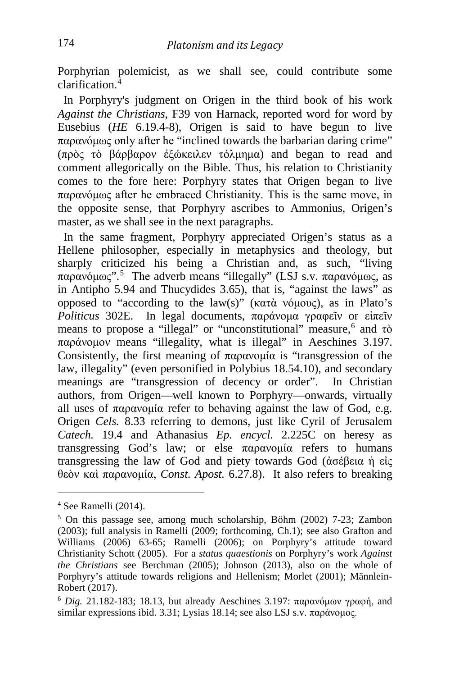Porphyrian polemicist, as we shall see, could contribute some clarification.[4](#page-2-0)

 In Porphyry's judgment on Origen in the third book of his work *Against the Christians*, F39 von Harnack, reported word for word by Eusebius (*HE* 6.19.4-8), Origen is said to have begun to live παρανόμως only after he "inclined towards the barbarian daring crime" (πρὸς τὸ βάρβαρον ἐξώκειλεν τόλμημα) and began to read and comment allegorically on the Bible. Thus, his relation to Christianity comes to the fore here: Porphyry states that Origen began to live παρανόμως after he embraced Christianity. This is the same move, in the opposite sense, that Porphyry ascribes to Ammonius, Origen's master, as we shall see in the next paragraphs.

 In the same fragment, Porphyry appreciated Origen's status as a Hellene philosopher, especially in metaphysics and theology, but sharply criticized his being a Christian and, as such, "living παρανόμως".[5](#page-2-1) Τhe adverb means "illegally" (LSJ s.v. παρανόμως, as in Antipho 5.94 and Thucydides 3.65), that is, "against the laws" as opposed to "according to the law(s)" (κατὰ νόμους), as in Plato's *Politicus* 302E. In legal documents, παράνομα γραφεῖν or εἰπεῖν means to propose a "illegal" or "unconstitutional" measure,<sup>[6](#page-2-2)</sup> and τὸ παράνομον means "illegality, what is illegal" in Aeschines 3.197. Consistently, the first meaning of παρανομία is "transgression of the law, illegality" (even personified in Polybius 18.54.10), and secondary meanings are "transgression of decency or order". In Christian authors, from Origen—well known to Porphyry—onwards, virtually all uses of παρανομία refer to behaving against the law of God, e.g. Origen *Cels.* 8.33 referring to demons, just like Cyril of Jerusalem *Catech.* 19.4 and Athanasius *Ep. encycl.* 2.225C on heresy as transgressing God's law; or else παρανομία refers to humans transgressing the law of God and piety towards God (ἀσέβεια ἡ εἰς θεὸν καὶ παρανομία, *Const. Apost.* 6.27.8). It also refers to breaking

<span id="page-2-0"></span><sup>4</sup> See Ramelli (2014).

<span id="page-2-1"></span><sup>5</sup> On this passage see, among much scholarship, Böhm (2002) 7-23; Zambon (2003); full analysis in Ramelli (2009; forthcoming, Ch.1); see also Grafton and Williams (2006) 63-65; Ramelli (2006); on Porphyry's attitude toward Christianity Schott (2005). For a *status quaestionis* on Porphyry's work *Against the Christians* see Berchman (2005); Johnson (2013), also on the whole of Porphyry's attitude towards religions and Hellenism; Morlet (2001); Männlein-Robert (2017).<br><sup>6</sup> *Dig.* 21.182-183; 18.13, but already Aeschines 3.197: παρανόμων γραφή, and

<span id="page-2-2"></span>similar expressions ibid. 3.31; Lysias 18.14; see also LSJ s.v. παράνομος.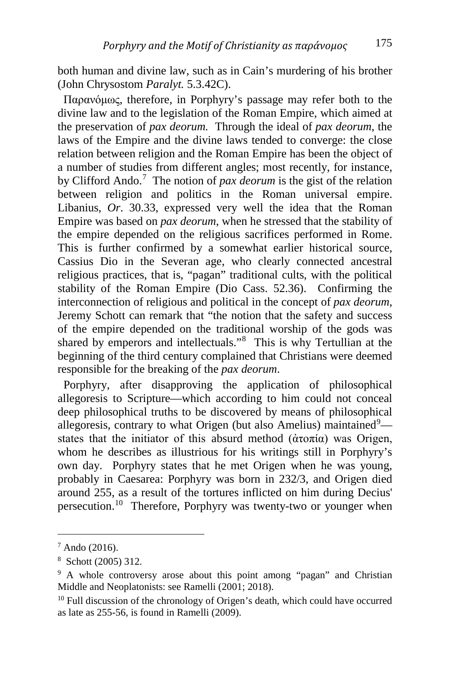both human and divine law, such as in Cain's murdering of his brother (John Chrysostom *Paralyt.* 5.3.42C).

 Παρανόμως, therefore, in Porphyry's passage may refer both to the divine law and to the legislation of the Roman Empire, which aimed at the preservation of *pax deorum.* Through the ideal of *pax deorum*, the laws of the Empire and the divine laws tended to converge: the close relation between religion and the Roman Empire has been the object of a number of studies from different angles; most recently, for instance, by Clifford Ando.<sup>[7](#page-3-0)</sup> The notion of *pax deorum* is the gist of the relation between religion and politics in the Roman universal empire. Libanius, *Or*. 30.33, expressed very well the idea that the Roman Empire was based on *pax deorum*, when he stressed that the stability of the empire depended on the religious sacrifices performed in Rome. This is further confirmed by a somewhat earlier historical source, Cassius Dio in the Severan age, who clearly connected ancestral religious practices, that is, "pagan" traditional cults, with the political stability of the Roman Empire (Dio Cass. 52.36). Confirming the interconnection of religious and political in the concept of *pax deorum*, Jeremy Schott can remark that "the notion that the safety and success of the empire depended on the traditional worship of the gods was shared by emperors and intellectuals."[8](#page-3-1) This is why Tertullian at the beginning of the third century complained that Christians were deemed responsible for the breaking of the *pax deorum*.

 Porphyry, after disapproving the application of philosophical allegoresis to Scripture—which according to him could not conceal deep philosophical truths to be discovered by means of philosophical allegoresis, contrary to what Origen (but also Amelius) maintained<sup>[9](#page-3-2)</sup>states that the initiator of this absurd method  $(α$ τοπία) was Origen, whom he describes as illustrious for his writings still in Porphyry's own day. Porphyry states that he met Origen when he was young, probably in Caesarea: Porphyry was born in 232/3, and Origen died around 255, as a result of the tortures inflicted on him during Decius' persecution.[10](#page-3-3) Therefore, Porphyry was twenty-two or younger when

<span id="page-3-0"></span> $7$  Ando (2016).

<span id="page-3-1"></span><sup>8</sup> Schott (2005) 312.

<span id="page-3-2"></span><sup>&</sup>lt;sup>9</sup> A whole controversy arose about this point among "pagan" and Christian Middle and Neoplatonists: see Ramelli (2001; 2018).

<span id="page-3-3"></span> $10$  Full discussion of the chronology of Origen's death, which could have occurred as late as 255-56, is found in Ramelli (2009).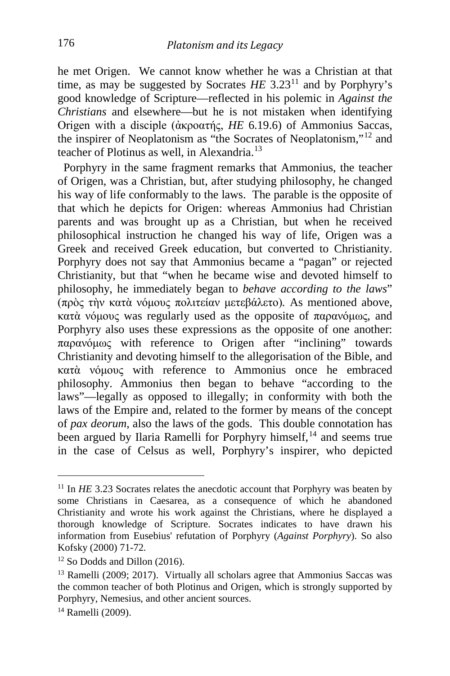he met Origen. We cannot know whether he was a Christian at that time, as may be suggested by Socrates  $HE$  3.23<sup>[11](#page-4-0)</sup> and by Porphyry's good knowledge of Scripture—reflected in his polemic in *Against the Christians* and elsewhere—but he is not mistaken when identifying Origen with a disciple (ἀκροατής, *HE* 6.19.6) of Ammonius Saccas, the inspirer of Neoplatonism as "the Socrates of Neoplatonism,"[12](#page-4-1) and teacher of Plotinus as well, in Alexandria.<sup>[13](#page-4-2)</sup>

 Porphyry in the same fragment remarks that Ammonius, the teacher of Origen, was a Christian, but, after studying philosophy, he changed his way of life conformably to the laws. The parable is the opposite of that which he depicts for Origen: whereas Ammonius had Christian parents and was brought up as a Christian, but when he received philosophical instruction he changed his way of life, Origen was a Greek and received Greek education, but converted to Christianity. Porphyry does not say that Ammonius became a "pagan" or rejected Christianity, but that "when he became wise and devoted himself to philosophy, he immediately began to *behave according to the laws*" (πρὸς τὴν κατὰ νόμους πολιτείαν μετεβάλετο)*.* As mentioned above, κατὰ νόμους was regularly used as the opposite of παρανόμως, and Porphyry also uses these expressions as the opposite of one another: παρανόμως with reference to Origen after "inclining" towards Christianity and devoting himself to the allegorisation of the Bible, and κατὰ νόμους with reference to Ammonius once he embraced philosophy. Ammonius then began to behave "according to the laws"—legally as opposed to illegally; in conformity with both the laws of the Empire and, related to the former by means of the concept of *pax deorum*, also the laws of the gods. This double connotation has been argued by Ilaria Ramelli for Porphyry himself,<sup>[14](#page-4-3)</sup> and seems true in the case of Celsus as well, Porphyry's inspirer, who depicted

<span id="page-4-0"></span><sup>&</sup>lt;sup>11</sup> In *HE* 3.23 Socrates relates the anecdotic account that Porphyry was beaten by some Christians in Caesarea, as a consequence of which he abandoned Christianity and wrote his work against the Christians, where he displayed a thorough knowledge of Scripture. Socrates indicates to have drawn his information from Eusebius' refutation of Porphyry (*Against Porphyry*). So also Kofsky (2000) 71-72*.*

<span id="page-4-1"></span><sup>&</sup>lt;sup>12</sup> So Dodds and Dillon (2016).

<span id="page-4-2"></span><sup>&</sup>lt;sup>13</sup> Ramelli (2009; 2017). Virtually all scholars agree that Ammonius Saccas was the common teacher of both Plotinus and Origen, which is strongly supported by Porphyry, Nemesius, and other ancient sources.

<span id="page-4-3"></span><sup>&</sup>lt;sup>14</sup> Ramelli (2009).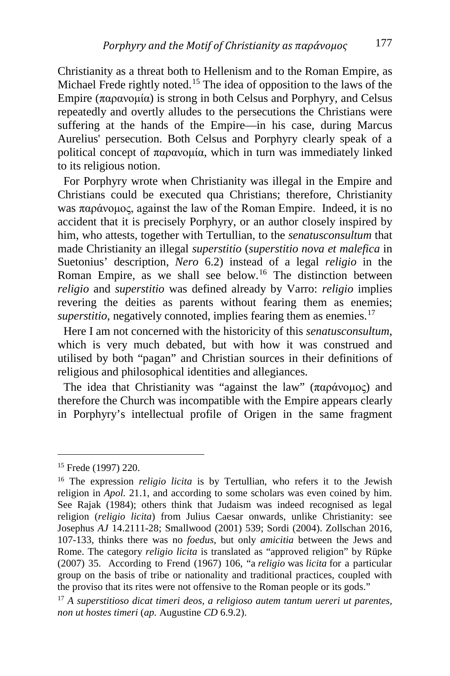Christianity as a threat both to Hellenism and to the Roman Empire, as Michael Frede rightly noted.<sup>[15](#page-5-0)</sup> The idea of opposition to the laws of the Empire (παρανομία) is strong in both Celsus and Porphyry, and Celsus repeatedly and overtly alludes to the persecutions the Christians were suffering at the hands of the Empire—in his case, during Marcus Aurelius' persecution. Both Celsus and Porphyry clearly speak of a political concept of παρανομία, which in turn was immediately linked to its religious notion.

 For Porphyry wrote when Christianity was illegal in the Empire and Christians could be executed qua Christians; therefore, Christianity was παράνομος, against the law of the Roman Empire. Indeed, it is no accident that it is precisely Porphyry, or an author closely inspired by him, who attests, together with Tertullian, to the *senatusconsultum* that made Christianity an illegal *superstitio* (*superstitio nova et malefica* in Suetonius' description, *Nero* 6.2) instead of a legal *religio* in the Roman Empire, as we shall see below.<sup>[16](#page-5-1)</sup> The distinction between *religio* and *superstitio* was defined already by Varro: *religio* implies revering the deities as parents without fearing them as enemies; *superstitio*, negatively connoted, implies fearing them as enemies.<sup>[17](#page-5-2)</sup>

 Here I am not concerned with the historicity of this *senatusconsultum*, which is very much debated, but with how it was construed and utilised by both "pagan" and Christian sources in their definitions of religious and philosophical identities and allegiances.

 The idea that Christianity was "against the law" (παράνομος) and therefore the Church was incompatible with the Empire appears clearly in Porphyry's intellectual profile of Origen in the same fragment

<span id="page-5-0"></span><sup>15</sup> Frede (1997) 220.

<span id="page-5-1"></span><sup>16</sup> The expression *religio licita* is by Tertullian, who refers it to the Jewish religion in *Apol.* 21.1, and according to some scholars was even coined by him. See Rajak (1984); others think that Judaism was indeed recognised as legal religion (*religio licita*) from Julius Caesar onwards, unlike Christianity: see Josephus *AJ* 14.2111-28; Smallwood (2001) 539; Sordi (2004). Zollschan 2016, 107-133, thinks there was no *foedus*, but only *amicitia* between the Jews and Rome. The category *religio licita* is translated as "approved religion" by Rüpke (2007) 35. According to Frend (1967) 106, "a *religio* was *licita* for a particular group on the basis of tribe or nationality and traditional practices, coupled with the proviso that its rites were not offensive to the Roman people or its gods."

<span id="page-5-2"></span><sup>17</sup> *A superstitioso dicat timeri deos, a religioso autem tantum uereri ut parentes, non ut hostes timeri* (*ap.* Augustine *CD* 6.9.2).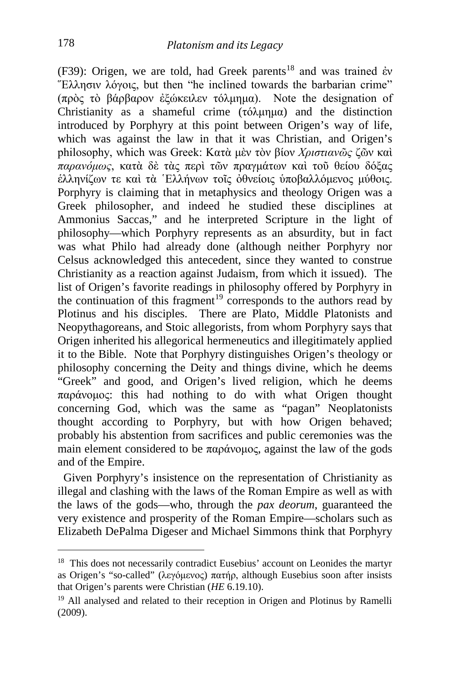(F39): Origen, we are told, had Greek parents<sup>[18](#page-6-0)</sup> and was trained έν "Ελλησιν λόγοις, but then "he inclined towards the barbarian crime" (πρὸς τὸ βάρβαρον ἐξώκειλεν τόλμημα). Note the designation of Christianity as a shameful crime (τόλμημα) and the distinction introduced by Porphyry at this point between Origen's way of life, which was against the law in that it was Christian, and Origen's philosophy, which was Greek: Κατὰ μὲν τὸν βίον *Χριστιανῶς* ζῶν καὶ *παρανόμως*, κατὰ δὲ τὰς περὶ τῶν πραγμάτων καὶ τοῦ θείου δόξας ἑλληνίζων τε καὶ τὰ ῾Ελλήνων τοῖς ὀθνείοις ὑποβαλλόμενος μύθοις. Porphyry is claiming that in metaphysics and theology Origen was a Greek philosopher, and indeed he studied these disciplines at Ammonius Saccas," and he interpreted Scripture in the light of philosophy—which Porphyry represents as an absurdity, but in fact was what Philo had already done (although neither Porphyry nor Celsus acknowledged this antecedent, since they wanted to construe Christianity as a reaction against Judaism, from which it issued). The list of Origen's favorite readings in philosophy offered by Porphyry in the continuation of this fragment<sup>[19](#page-6-1)</sup> corresponds to the authors read by Plotinus and his disciples. There are Plato, Middle Platonists and Neopythagoreans, and Stoic allegorists, from whom Porphyry says that Origen inherited his allegorical hermeneutics and illegitimately applied it to the Bible. Note that Porphyry distinguishes Origen's theology or philosophy concerning the Deity and things divine, which he deems "Greek" and good, and Origen's lived religion, which he deems παράνομος: this had nothing to do with what Origen thought concerning God, which was the same as "pagan" Neoplatonists thought according to Porphyry, but with how Origen behaved; probably his abstention from sacrifices and public ceremonies was the main element considered to be  $\pi \alpha \rho \dot{\alpha}$  against the law of the gods and of the Empire.

 Given Porphyry's insistence on the representation of Christianity as illegal and clashing with the laws of the Roman Empire as well as with the laws of the gods—who, through the *pax deorum*, guaranteed the very existence and prosperity of the Roman Empire—scholars such as Elizabeth DePalma Digeser and Michael Simmons think that Porphyry

<span id="page-6-0"></span><sup>&</sup>lt;sup>18</sup> This does not necessarily contradict Eusebius' account on Leonides the martyr as Origen's "so-called" (λεγόμενος) πατήρ, although Eusebius soon after insists that Origen's parents were Christian (*HE* 6.19.10).

<span id="page-6-1"></span><sup>&</sup>lt;sup>19</sup> All analysed and related to their reception in Origen and Plotinus by Ramelli (2009).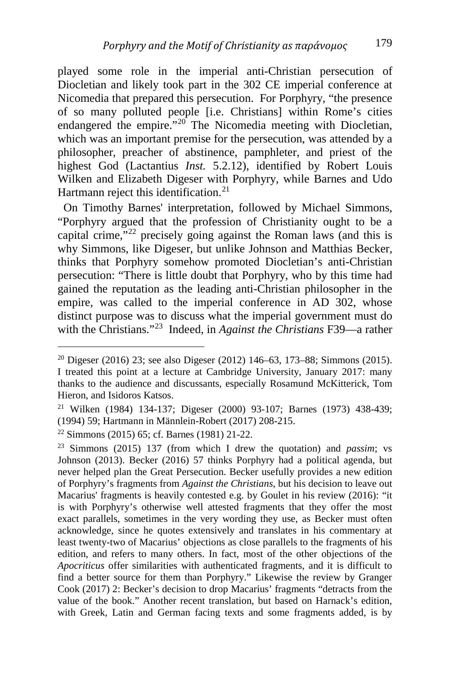played some role in the imperial anti-Christian persecution of Diocletian and likely took part in the 302 CE imperial conference at Nicomedia that prepared this persecution. For Porphyry, "the presence of so many polluted people [i.e. Christians] within Rome's cities endangered the empire."<sup>[20](#page-7-0)</sup> The Nicomedia meeting with Diocletian, which was an important premise for the persecution, was attended by a philosopher, preacher of abstinence, pamphleter, and priest of the highest God (Lactantius *Inst.* 5.2.12), identified by Robert Louis Wilken and Elizabeth Digeser with Porphyry, while Barnes and Udo Hartmann reject this identification.<sup>[21](#page-7-1)</sup>

 On Timothy Barnes' interpretation, followed by Michael Simmons, "Porphyry argued that the profession of Christianity ought to be a capital crime,"<sup>[22](#page-7-2)</sup> precisely going against the Roman laws (and this is why Simmons, like Digeser, but unlike Johnson and Matthias Becker, thinks that Porphyry somehow promoted Diocletian's anti-Christian persecution: "There is little doubt that Porphyry, who by this time had gained the reputation as the leading anti-Christian philosopher in the empire, was called to the imperial conference in AD 302, whose distinct purpose was to discuss what the imperial government must do with the Christians."[23](#page-7-3) Indeed, in *Against the Christians* F39—a rather

<span id="page-7-0"></span><sup>&</sup>lt;sup>20</sup> Digeser (2016) 23; see also Digeser (2012) 146–63, 173–88; Simmons (2015). I treated this point at a lecture at Cambridge University, January 2017: many thanks to the audience and discussants, especially Rosamund McKitterick, Tom Hieron, and Isidoros Katsos.

<span id="page-7-1"></span><sup>21</sup> Wilken (1984) 134-137; Digeser (2000) 93-107; Barnes (1973) 438-439; (1994) 59; Hartmann in Männlein-Robert (2017) 208-215.

<span id="page-7-2"></span><sup>22</sup> Simmons (2015) 65; cf. Barnes (1981) 21-22.

<span id="page-7-3"></span><sup>23</sup> Simmons (2015) 137 (from which I drew the quotation) and *passim*; vs Johnson (2013). Becker (2016) 57 thinks Porphyry had a political agenda, but never helped plan the Great Persecution. Becker usefully provides a new edition of Porphyry's fragments from *Against the Christians,* but his decision to leave out Macarius' fragments is heavily contested e.g. by Goulet in his review (2016): "it is with Porphyry's otherwise well attested fragments that they offer the most exact parallels, sometimes in the very wording they use, as Becker must often acknowledge, since he quotes extensively and translates in his commentary at least twenty-two of Macarius' objections as close parallels to the fragments of his edition, and refers to many others. In fact, most of the other objections of the *Apocriticus* offer similarities with authenticated fragments, and it is difficult to find a better source for them than Porphyry." Likewise the review by Granger Cook (2017) 2: Becker's decision to drop Macarius' fragments "detracts from the value of the book." Another recent translation, but based on Harnack's edition, with Greek, Latin and German facing texts and some fragments added, is by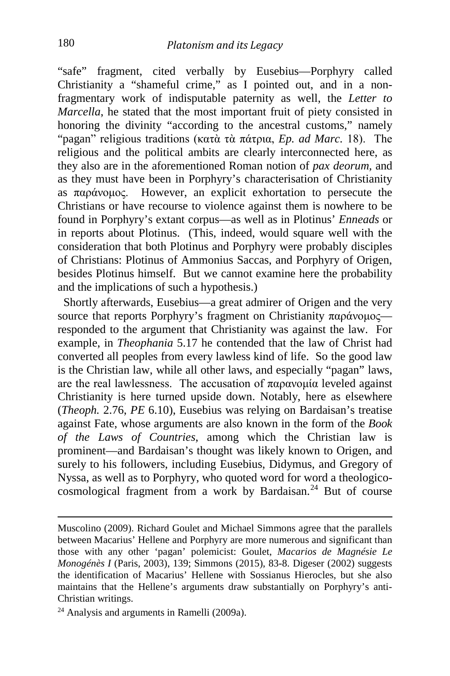"safe" fragment, cited verbally by Eusebius—Porphyry called Christianity a "shameful crime," as I pointed out, and in a nonfragmentary work of indisputable paternity as well, the *Letter to Marcella*, he stated that the most important fruit of piety consisted in honoring the divinity "according to the ancestral customs," namely "pagan" religious traditions (κατὰ τὰ πάτρια, *Ep. ad Marc.* 18). Τhe religious and the political ambits are clearly interconnected here, as they also are in the aforementioned Roman notion of *pax deorum,* and as they must have been in Porphyry's characterisation of Christianity as παράνομος. However, an explicit exhortation to persecute the Christians or have recourse to violence against them is nowhere to be found in Porphyry's extant corpus—as well as in Plotinus' *Enneads* or in reports about Plotinus. (This, indeed, would square well with the consideration that both Plotinus and Porphyry were probably disciples of Christians: Plotinus of Ammonius Saccas, and Porphyry of Origen, besides Plotinus himself. But we cannot examine here the probability and the implications of such a hypothesis.)

 Shortly afterwards, Eusebius—a great admirer of Origen and the very source that reports Porphyry's fragment on Christianity παράνομος responded to the argument that Christianity was against the law. For example, in *Theophania* 5.17 he contended that the law of Christ had converted all peoples from every lawless kind of life. So the good law is the Christian law, while all other laws, and especially "pagan" laws, are the real lawlessness. The accusation of παρανομία leveled against Christianity is here turned upside down. Notably, here as elsewhere (*Theoph.* 2.76, *PE* 6.10), Eusebius was relying on Bardaisan's treatise against Fate, whose arguments are also known in the form of the *Book of the Laws of Countries*, among which the Christian law is prominent—and Bardaisan's thought was likely known to Origen, and surely to his followers, including Eusebius, Didymus, and Gregory of Nyssa, as well as to Porphyry, who quoted word for word a theologico- $cosmological fragment from a work by Bardaisan.<sup>24</sup> But of course$  $cosmological fragment from a work by Bardaisan.<sup>24</sup> But of course$  $cosmological fragment from a work by Bardaisan.<sup>24</sup> But of course$ 

<span id="page-8-0"></span><sup>24</sup> Analysis and arguments in Ramelli (2009a).

Muscolino (2009). Richard Goulet and Michael Simmons agree that the parallels between Macarius' Hellene and Porphyry are more numerous and significant than those with any other 'pagan' polemicist: Goulet, *Macarios de Magnésie Le Monogénès I* (Paris, 2003), 139; Simmons (2015), 83-8. Digeser (2002) suggests the identification of Macarius' Hellene with Sossianus Hierocles, but she also maintains that the Hellene's arguments draw substantially on Porphyry's anti-Christian writings.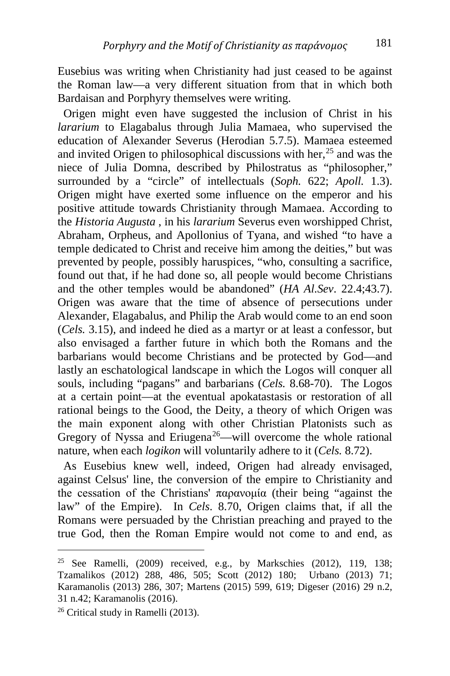Eusebius was writing when Christianity had just ceased to be against the Roman law—a very different situation from that in which both Bardaisan and Porphyry themselves were writing.

 Origen might even have suggested the inclusion of Christ in his *lararium* to Elagabalus through Julia Mamaea, who supervised the education of Alexander Severus (Herodian 5.7.5). Mamaea esteemed and invited Origen to philosophical discussions with her,  $25$  and was the niece of Julia Domna, described by Philostratus as "philosopher," surrounded by a "circle" of intellectuals (*Soph.* 622; *Apoll.* 1.3). Origen might have exerted some influence on the emperor and his positive attitude towards Christianity through Mamaea. According to the *Historia Augusta* , in his *lararium* Severus even worshipped Christ, Abraham, Orpheus, and Apollonius of Tyana, and wished "to have a temple dedicated to Christ and receive him among the deities," but was prevented by people, possibly haruspices, "who, consulting a sacrifice, found out that, if he had done so, all people would become Christians and the other temples would be abandoned" (*HA Al.Sev*. 22.4;43.7). Origen was aware that the time of absence of persecutions under Alexander, Elagabalus, and Philip the Arab would come to an end soon (*Cels.* 3.15), and indeed he died as a martyr or at least a confessor, but also envisaged a farther future in which both the Romans and the barbarians would become Christians and be protected by God—and lastly an eschatological landscape in which the Logos will conquer all souls, including "pagans" and barbarians (*Cels.* 8.68-70). The Logos at a certain point—at the eventual apokatastasis or restoration of all rational beings to the Good, the Deity, a theory of which Origen was the main exponent along with other Christian Platonists such as Gregory of Nyssa and Eriugena<sup>[26](#page-9-1)</sup>—will overcome the whole rational nature, when each *logikon* will voluntarily adhere to it (*Cels.* 8.72).

 As Eusebius knew well, indeed, Origen had already envisaged, against Celsus' line, the conversion of the empire to Christianity and the cessation of the Christians' παρανομία (their being "against the law" of the Empire). In *Cels*. 8.70, Origen claims that, if all the Romans were persuaded by the Christian preaching and prayed to the true God, then the Roman Empire would not come to and end, as

<span id="page-9-0"></span><sup>&</sup>lt;sup>25</sup> See Ramelli,  $(2009)$  received, e.g., by Markschies  $(2012)$ , 119, 138; Tzamalikos (2012) 288, 486, 505; Scott (2012) 180; Urbano (2013) 71; Karamanolis (2013) 286, 307; Martens (2015) 599, 619; Digeser (2016) 29 n.2, 31 n.42; Karamanolis (2016).

<span id="page-9-1"></span><sup>26</sup> Critical study in Ramelli (2013).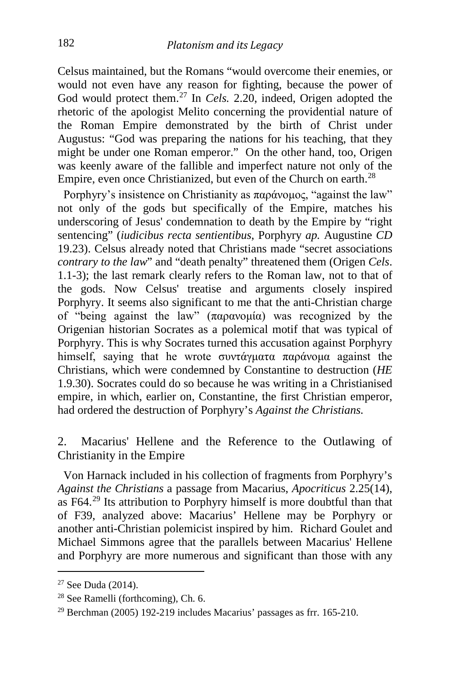Celsus maintained, but the Romans "would overcome their enemies, or would not even have any reason for fighting, because the power of God would protect them.<sup>[27](#page-10-0)</sup> In *Cels.* 2.20, indeed, Origen adopted the rhetoric of the apologist Melito concerning the providential nature of the Roman Empire demonstrated by the birth of Christ under Augustus: "God was preparing the nations for his teaching, that they might be under one Roman emperor." On the other hand, too, Origen was keenly aware of the fallible and imperfect nature not only of the Empire, even once Christianized, but even of the Church on earth.<sup>[28](#page-10-1)</sup>

 Porphyry's insistence on Christianity as παράνομος, "against the law" not only of the gods but specifically of the Empire, matches his underscoring of Jesus' condemnation to death by the Empire by "right sentencing" (*iudicibus recta sentientibus*, Porphyry *ap.* Augustine *CD*  19.23). Celsus already noted that Christians made "secret associations *contrary to the law*" and "death penalty" threatened them (Origen *Cels*. 1.1-3); the last remark clearly refers to the Roman law, not to that of the gods. Now Celsus' treatise and arguments closely inspired Porphyry. It seems also significant to me that the anti-Christian charge of "being against the law" (παρανομία) was recognized by the Origenian historian Socrates as a polemical motif that was typical of Porphyry. This is why Socrates turned this accusation against Porphyry himself, saying that he wrote συντάγματα παράνομα against the Christians, which were condemned by Constantine to destruction (*HE* 1.9.30). Socrates could do so because he was writing in a Christianised empire, in which, earlier on, Constantine, the first Christian emperor, had ordered the destruction of Porphyry's *Against the Christians.*

#### 2. Macarius' Hellene and the Reference to the Outlawing of Christianity in the Empire

 Von Harnack included in his collection of fragments from Porphyry's *Against the Christians* a passage from Macarius, *Apocriticus* 2.25(14), as F64.[29](#page-10-2) Its attribution to Porphyry himself is more doubtful than that of F39, analyzed above: Macarius' Hellene may be Porphyry or another anti-Christian polemicist inspired by him. Richard Goulet and Michael Simmons agree that the parallels between Macarius' Hellene and Porphyry are more numerous and significant than those with any

<span id="page-10-0"></span><sup>27</sup> See Duda (2014).

<span id="page-10-1"></span><sup>28</sup> See Ramelli (forthcoming), Ch. 6.

<span id="page-10-2"></span> $29$  Berchman (2005) 192-219 includes Macarius' passages as frr. 165-210.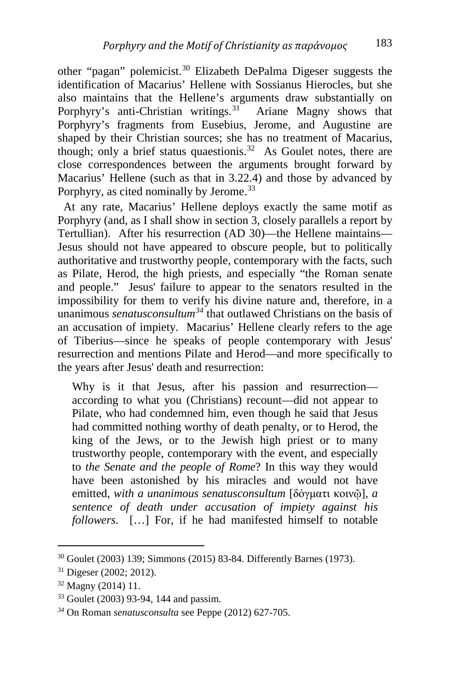other "pagan" polemicist.<sup>[30](#page-11-0)</sup> Elizabeth DePalma Digeser suggests the identification of Macarius' Hellene with Sossianus Hierocles, but she also maintains that the Hellene's arguments draw substantially on Porphyry's anti-Christian writings.<sup>31</sup> Ariane Magny shows that Porphyry's fragments from Eusebius, Jerome, and Augustine are shaped by their Christian sources; she has no treatment of Macarius, though; only a brief status quaestionis.<sup>[32](#page-11-2)</sup> As Goulet notes, there are close correspondences between the arguments brought forward by Macarius' Hellene (such as that in 3.22.4) and those by advanced by Porphyry, as cited nominally by Jerome.<sup>[33](#page-11-3)</sup>

 At any rate, Macarius' Hellene deploys exactly the same motif as Porphyry (and, as I shall show in section 3, closely parallels a report by Tertullian). After his resurrection (AD 30)—the Hellene maintains— Jesus should not have appeared to obscure people, but to politically authoritative and trustworthy people, contemporary with the facts, such as Pilate, Herod, the high priests, and especially "the Roman senate and people." Jesus' failure to appear to the senators resulted in the impossibility for them to verify his divine nature and, therefore, in a unanimous *senatusconsultum[34](#page-11-4)* that outlawed Christians on the basis of an accusation of impiety. Macarius' Hellene clearly refers to the age of Tiberius—since he speaks of people contemporary with Jesus' resurrection and mentions Pilate and Herod—and more specifically to the years after Jesus' death and resurrection:

Why is it that Jesus, after his passion and resurrection according to what you (Christians) recount—did not appear to Pilate, who had condemned him, even though he said that Jesus had committed nothing worthy of death penalty, or to Herod, the king of the Jews, or to the Jewish high priest or to many trustworthy people, contemporary with the event, and especially to *the Senate and the people of Rome*? In this way they would have been astonished by his miracles and would not have emitted, *with a unanimous senatusconsultum* [δόγματι κοινῷ]*, a sentence of death under accusation of impiety against his followers*. […] For, if he had manifested himself to notable

<span id="page-11-0"></span><sup>30</sup> Goulet (2003) 139; Simmons (2015) 83-84. Differently Barnes (1973).

<span id="page-11-1"></span><sup>31</sup> Digeser (2002; 2012).

<span id="page-11-2"></span><sup>32</sup> Magny (2014) 11.

<span id="page-11-3"></span><sup>33</sup> Goulet (2003) 93-94, 144 and passim.

<span id="page-11-4"></span>*<sup>34</sup>* On Roman *senatusconsulta* see Peppe (2012) 627-705.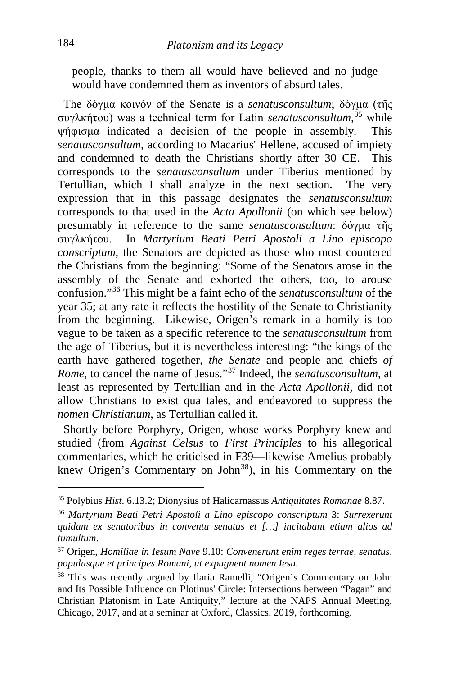people, thanks to them all would have believed and no judge would have condemned them as inventors of absurd tales.

 The δόγμα κοινόν of the Senate is a *senatusconsultum*; δόγμα (τῆς συγλκήτου) was a technical term for Latin *senatusconsultum*, [35](#page-12-0) while ψήφισμα indicated a decision of the people in assembly. This *senatusconsultum*, according to Macarius' Hellene, accused of impiety and condemned to death the Christians shortly after 30 CE. This corresponds to the *senatusconsultum* under Tiberius mentioned by Tertullian, which I shall analyze in the next section. The very expression that in this passage designates the *senatusconsultum* corresponds to that used in the *Acta Apollonii* (on which see below) presumably in reference to the same *senatusconsultum*: δόγμα τῆς συγλκήτου. In *Martyrium Beati Petri Apostoli a Lino episcopo conscriptum*, the Senators are depicted as those who most countered the Christians from the beginning: "Some of the Senators arose in the assembly of the Senate and exhorted the others, too, to arouse confusion."[36](#page-12-1) This might be a faint echo of the *senatusconsultum* of the year 35; at any rate it reflects the hostility of the Senate to Christianity from the beginning. Likewise, Origen's remark in a homily is too vague to be taken as a specific reference to the *senatusconsultum* from the age of Tiberius, but it is nevertheless interesting: "the kings of the earth have gathered together, *the Senate* and people and chiefs *of Rome*, to cancel the name of Jesus."[37](#page-12-2) Indeed, the *senatusconsultum*, at least as represented by Tertullian and in the *Acta Apollonii*, did not allow Christians to exist qua tales, and endeavored to suppress the *nomen Christianum*, as Tertullian called it.

 Shortly before Porphyry, Origen, whose works Porphyry knew and studied (from *Against Celsus* to *First Principles* to his allegorical commentaries, which he criticised in F39—likewise Amelius probably knew Origen's Commentary on John<sup>[38](#page-12-3)</sup>), in his Commentary on the

<span id="page-12-0"></span><sup>35</sup> Polybius *Hist*. 6.13.2; Dionysius of Halicarnassus *Antiquitates Romanae* 8.87.

<span id="page-12-1"></span><sup>36</sup> *Martyrium Beati Petri Apostoli a Lino episcopo conscriptum* 3: *Surrexerunt quidam ex senatoribus in conventu senatus et […] incitabant etiam alios ad tumultum*.

<span id="page-12-2"></span><sup>37</sup> Origen, *Homiliae in Iesum Nave* 9.10: *Convenerunt enim reges terrae, senatus, populusque et principes Romani, ut expugnent nomen Iesu.*

<span id="page-12-3"></span><sup>38</sup> This was recently argued by Ilaria Ramelli, "Origen's Commentary on John and Its Possible Influence on Plotinus' Circle: Intersections between "Pagan" and Christian Platonism in Late Antiquity," lecture at the NAPS Annual Meeting, Chicago, 2017, and at a seminar at Oxford, Classics, 2019, forthcoming.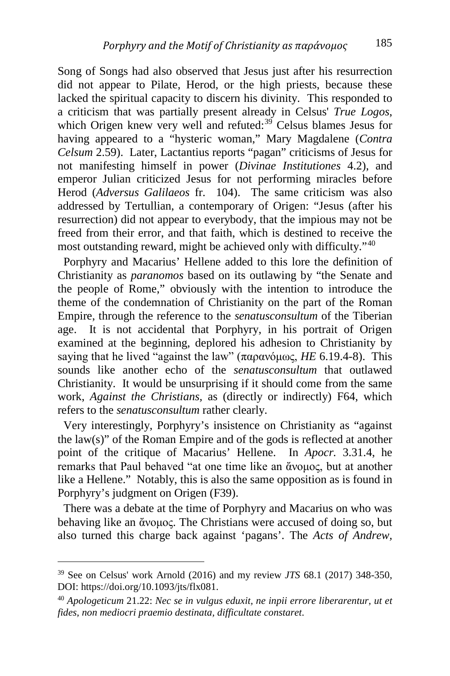Song of Songs had also observed that Jesus just after his resurrection did not appear to Pilate, Herod, or the high priests, because these lacked the spiritual capacity to discern his divinity. This responded to a criticism that was partially present already in Celsus' *True Logos*, which Origen knew very well and refuted:<sup>[39](#page-13-0)</sup> Celsus blames Jesus for having appeared to a "hysteric woman," Mary Magdalene (*Contra Celsum* 2.59). Later, Lactantius reports "pagan" criticisms of Jesus for not manifesting himself in power (*Divinae Institutiones* 4.2), and emperor Julian criticized Jesus for not performing miracles before Herod (*Adversus Galilaeos* fr. 104). The same criticism was also addressed by Tertullian, a contemporary of Origen: "Jesus (after his resurrection) did not appear to everybody, that the impious may not be freed from their error, and that faith, which is destined to receive the most outstanding reward, might be achieved only with difficulty."[40](#page-13-1)

 Porphyry and Macarius' Hellene added to this lore the definition of Christianity as *paranomos* based on its outlawing by "the Senate and the people of Rome," obviously with the intention to introduce the theme of the condemnation of Christianity on the part of the Roman Empire, through the reference to the *senatusconsultum* of the Tiberian age. It is not accidental that Porphyry, in his portrait of Origen examined at the beginning, deplored his adhesion to Christianity by saying that he lived "against the law" (παρανόμως, *HE* 6.19.4-8). This sounds like another echo of the *senatusconsultum* that outlawed Christianity. It would be unsurprising if it should come from the same work, *Against the Christians,* as (directly or indirectly) F64, which refers to the *senatusconsultum* rather clearly.

 Very interestingly, Porphyry's insistence on Christianity as "against the law(s)" of the Roman Empire and of the gods is reflected at another point of the critique of Macarius' Hellene. In *Apocr.* 3.31.4, he remarks that Paul behaved "at one time like an ἄνομος, but at another like a Hellene." Notably, this is also the same opposition as is found in Porphyry's judgment on Origen (F39).

 There was a debate at the time of Porphyry and Macarius on who was behaving like an ἄνομος. The Christians were accused of doing so, but also turned this charge back against 'pagans'. The *Acts of Andrew,* 

<span id="page-13-0"></span><sup>39</sup> See on Celsus' work Arnold (2016) and my review *JTS* 68.1 (2017) 348-350, DOI: https://doi.org/10.1093/jts/flx081.

<span id="page-13-1"></span><sup>40</sup> *Apologeticum* 21.22: *Nec se in vulgus eduxit, ne inpii errore liberarentur, ut et fides, non mediocri praemio destinata, difficultate constaret*.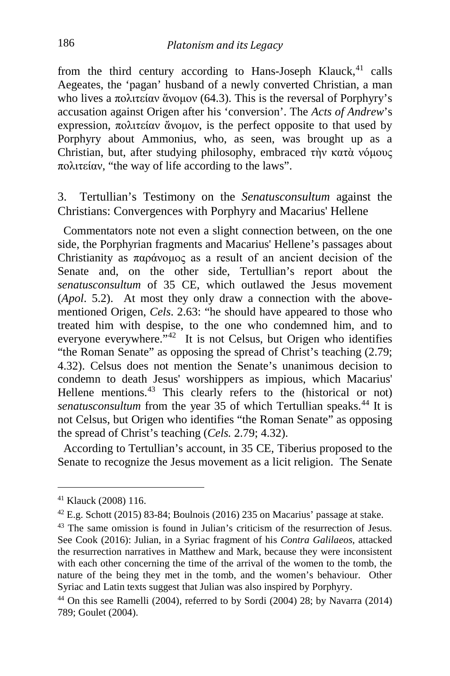from the third century according to Hans-Joseph Klauck, $41$  calls Aegeates, the 'pagan' husband of a newly converted Christian, a man who lives a πολιτείαν ἄνομον (64.3). This is the reversal of Porphyry's accusation against Origen after his 'conversion'. The *Acts of Andrew*'s expression, πολιτείαν ἄνομον, is the perfect opposite to that used by Porphyry about Ammonius, who, as seen, was brought up as a Christian, but, after studying philosophy, embraced τὴν κατὰ νόμους πολιτείαν, "the way of life according to the laws".

3. Tertullian's Testimony on the *Senatusconsultum* against the Christians: Convergences with Porphyry and Macarius' Hellene

 Commentators note not even a slight connection between, on the one side, the Porphyrian fragments and Macarius' Hellene's passages about Christianity as παράνομος as a result of an ancient decision of the Senate and, on the other side, Tertullian's report about the *senatusconsultum* of 35 CE, which outlawed the Jesus movement (*Apol*. 5.2). At most they only draw a connection with the abovementioned Origen, *Cels*. 2.63: "he should have appeared to those who treated him with despise, to the one who condemned him, and to everyone everywhere.<sup>"[42](#page-14-1)</sup> It is not Celsus, but Origen who identifies "the Roman Senate" as opposing the spread of Christ's teaching (2.79; 4.32). Celsus does not mention the Senate's unanimous decision to condemn to death Jesus' worshippers as impious, which Macarius' Hellene mentions.<sup>[43](#page-14-2)</sup> This clearly refers to the (historical or not) *senatusconsultum* from the year 35 of which Tertullian speaks.<sup>[44](#page-14-3)</sup> It is not Celsus, but Origen who identifies "the Roman Senate" as opposing the spread of Christ's teaching (*Cels.* 2.79; 4.32).

 According to Tertullian's account, in 35 CE, Tiberius proposed to the Senate to recognize the Jesus movement as a licit religion. The Senate

<span id="page-14-0"></span><sup>41</sup> Klauck (2008) 116.

<span id="page-14-1"></span><sup>42</sup> E.g. Schott (2015) 83-84; Boulnois (2016) 235 on Macarius' passage at stake.

<span id="page-14-2"></span><sup>43</sup> The same omission is found in Julian's criticism of the resurrection of Jesus. See Cook (2016): Julian, in a Syriac fragment of his *Contra Galilaeos*, attacked the resurrection narratives in Matthew and Mark, because they were inconsistent with each other concerning the time of the arrival of the women to the tomb, the nature of the being they met in the tomb, and the women's behaviour. Other Syriac and Latin texts suggest that Julian was also inspired by Porphyry.

<span id="page-14-3"></span> $44$  On this see Ramelli (2004), referred to by Sordi (2004) 28; by Navarra (2014) 789; Goulet (2004).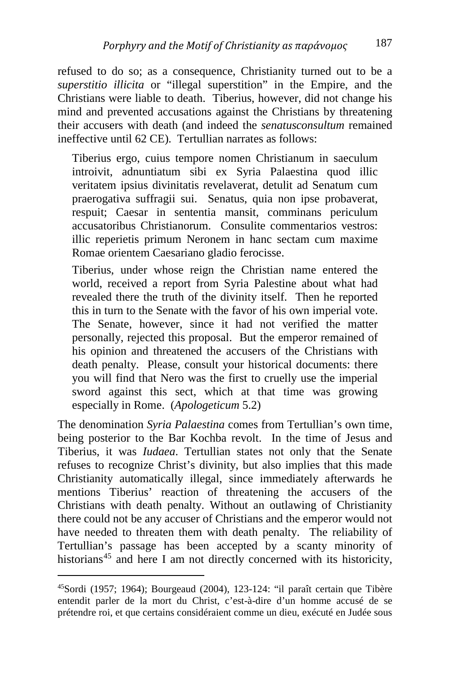refused to do so; as a consequence, Christianity turned out to be a *superstitio illicita* or "illegal superstition" in the Empire, and the Christians were liable to death. Tiberius, however, did not change his mind and prevented accusations against the Christians by threatening their accusers with death (and indeed the *senatusconsultum* remained ineffective until 62 CE). Tertullian narrates as follows:

Tiberius ergo, cuius tempore nomen Christianum in saeculum introivit, adnuntiatum sibi ex Syria Palaestina quod illic veritatem ipsius divinitatis revelaverat, detulit ad Senatum cum praerogativa suffragii sui. Senatus, quia non ipse probaverat, respuit; Caesar in sententia mansit, comminans periculum accusatoribus Christianorum. Consulite commentarios vestros: illic reperietis primum Neronem in hanc sectam cum maxime Romae orientem Caesariano gladio ferocisse.

Tiberius, under whose reign the Christian name entered the world, received a report from Syria Palestine about what had revealed there the truth of the divinity itself. Then he reported this in turn to the Senate with the favor of his own imperial vote. The Senate, however, since it had not verified the matter personally, rejected this proposal. But the emperor remained of his opinion and threatened the accusers of the Christians with death penalty. Please, consult your historical documents: there you will find that Nero was the first to cruelly use the imperial sword against this sect, which at that time was growing especially in Rome. (*Apologeticum* 5.2)

The denomination *Syria Palaestina* comes from Tertullian's own time, being posterior to the Bar Kochba revolt. In the time of Jesus and Tiberius, it was *Iudaea*. Tertullian states not only that the Senate refuses to recognize Christ's divinity, but also implies that this made Christianity automatically illegal, since immediately afterwards he mentions Tiberius' reaction of threatening the accusers of the Christians with death penalty. Without an outlawing of Christianity there could not be any accuser of Christians and the emperor would not have needed to threaten them with death penalty. The reliability of Tertullian's passage has been accepted by a scanty minority of historians<sup>[45](#page-15-0)</sup> and here I am not directly concerned with its historicity,

<span id="page-15-0"></span>i, 45Sordi (1957; 1964); Bourgeaud (2004), 123-124: "il paraît certain que Tibère entendit parler de la mort du Christ, c'est-à-dire d'un homme accusé de se prétendre roi, et que certains considéraient comme un dieu, exécuté en Judée sous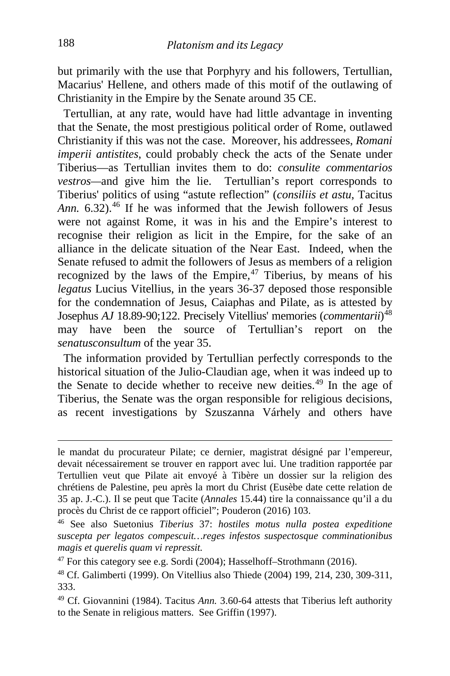but primarily with the use that Porphyry and his followers, Tertullian, Macarius' Hellene, and others made of this motif of the outlawing of Christianity in the Empire by the Senate around 35 CE.

 Tertullian, at any rate, would have had little advantage in inventing that the Senate, the most prestigious political order of Rome, outlawed Christianity if this was not the case. Moreover, his addressees, *Romani imperii antistites*, could probably check the acts of the Senate under Tiberius—as Tertullian invites them to do: *consulite commentarios vestros—*and give him the lie. Tertullian's report corresponds to Tiberius' politics of using "astute reflection" (*consiliis et astu*, Tacitus Ann. 6.32).<sup>[46](#page-16-0)</sup> If he was informed that the Jewish followers of Jesus were not against Rome, it was in his and the Empire's interest to recognise their religion as licit in the Empire, for the sake of an alliance in the delicate situation of the Near East. Indeed, when the Senate refused to admit the followers of Jesus as members of a religion recognized by the laws of the Empire*,* [47](#page-16-1) Tiberius, by means of his *legatus* Lucius Vitellius, in the years 36-37 deposed those responsible for the condemnation of Jesus, Caiaphas and Pilate, as is attested by Josephus *AJ* 18.89-90;122. Precisely Vitellius' memories (*commentarii*) [48](#page-16-2) may have been the source of Tertullian's report on the *senatusconsultum* of the year 35.

 The information provided by Tertullian perfectly corresponds to the historical situation of the Julio-Claudian age, when it was indeed up to the Senate to decide whether to receive new deities.<sup>[49](#page-16-3)</sup> In the age of Tiberius, the Senate was the organ responsible for religious decisions, as recent investigations by Szuszanna Várhely and others have

le mandat du procurateur Pilate; ce dernier, magistrat désigné par l'empereur, devait nécessairement se trouver en rapport avec lui. Une tradition rapportée par Tertullien veut que Pilate ait envoyé à Tibère un dossier sur la religion des chrétiens de Palestine, peu après la mort du Christ (Eusèbe date cette relation de 35 ap. J.-C.). Il se peut que Tacite (*Annales* 15.44) tire la connaissance qu'il a du procès du Christ de ce rapport officiel"; Pouderon (2016) 103.

<span id="page-16-0"></span><sup>46</sup> See also Suetonius *Tiberius* 37: *hostiles motus nulla postea expeditione suscepta per legatos compescuit…reges infestos suspectosque comminationibus magis et querelis quam vi repressit.*

<span id="page-16-1"></span> $47$  For this category see e.g. Sordi (2004); Hasselhoff–Strothmann (2016).

<span id="page-16-2"></span><sup>48</sup> Cf. Galimberti (1999). On Vitellius also Thiede (2004) 199, 214, 230, 309-311, 333.

<span id="page-16-3"></span><sup>49</sup> Cf. Giovannini (1984). Tacitus *Ann.* 3.60-64 attests that Tiberius left authority to the Senate in religious matters. See Griffin (1997).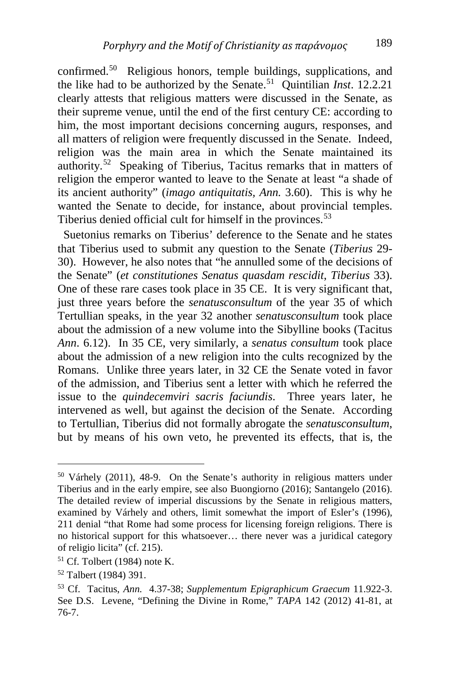confirmed.[50](#page-17-0) Religious honors, temple buildings, supplications, and the like had to be authorized by the Senate.[51](#page-17-1) Quintilian *Inst*. 12.2.21 clearly attests that religious matters were discussed in the Senate, as their supreme venue, until the end of the first century CE: according to him, the most important decisions concerning augurs, responses, and all matters of religion were frequently discussed in the Senate. Indeed, religion was the main area in which the Senate maintained its authority.[52](#page-17-2) Speaking of Tiberius, Tacitus remarks that in matters of religion the emperor wanted to leave to the Senate at least "a shade of its ancient authority" (*imago antiquitatis, Ann.* 3.60). This is why he wanted the Senate to decide, for instance, about provincial temples. Tiberius denied official cult for himself in the provinces.<sup>[53](#page-17-3)</sup>

 Suetonius remarks on Tiberius' deference to the Senate and he states that Tiberius used to submit any question to the Senate (*Tiberius* 29- 30). However, he also notes that "he annulled some of the decisions of the Senate" (*et constitutiones Senatus quasdam rescidit*, *Tiberius* 33). One of these rare cases took place in 35 CE. It is very significant that, just three years before the *senatusconsultum* of the year 35 of which Tertullian speaks, in the year 32 another *senatusconsultum* took place about the admission of a new volume into the Sibylline books (Tacitus *Ann*. 6.12). In 35 CE, very similarly, a *senatus consultum* took place about the admission of a new religion into the cults recognized by the Romans. Unlike three years later, in 32 CE the Senate voted in favor of the admission, and Tiberius sent a letter with which he referred the issue to the *quindecemviri sacris faciundis*. Three years later, he intervened as well, but against the decision of the Senate. According to Tertullian, Tiberius did not formally abrogate the *senatusconsultum*, but by means of his own veto, he prevented its effects, that is, the

<span id="page-17-0"></span><sup>50</sup> Várhely (2011), 48-9. On the Senate's authority in religious matters under Tiberius and in the early empire, see also Buongiorno (2016); Santangelo (2016). The detailed review of imperial discussions by the Senate in religious matters, examined by Várhely and others, limit somewhat the import of Esler's (1996), 211 denial "that Rome had some process for licensing foreign religions. There is no historical support for this whatsoever… there never was a juridical category of religio licita" (cf. 215).

<span id="page-17-1"></span><sup>51</sup> Cf. Tolbert (1984) note K.

<span id="page-17-2"></span><sup>52</sup> Talbert (1984) 391.

<span id="page-17-3"></span><sup>53</sup> Cf. Tacitus, *Ann.* 4.37-38; *Supplementum Epigraphicum Graecum* 11.922-3. See D.S. Levene, "Defining the Divine in Rome," *TAPA* 142 (2012) 41-81, at 76-7.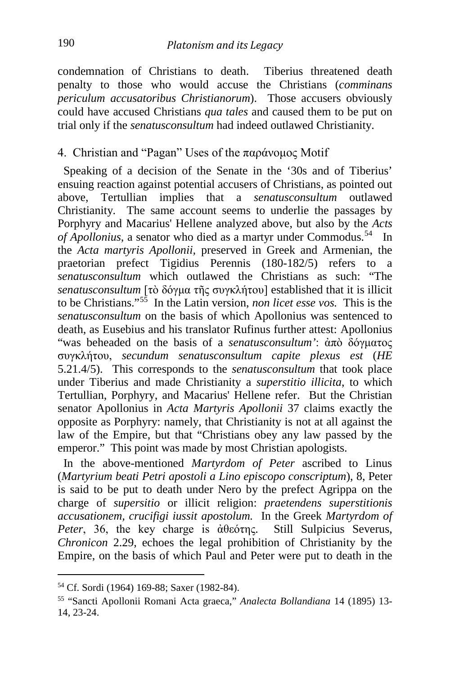condemnation of Christians to death. Tiberius threatened death penalty to those who would accuse the Christians (*comminans periculum accusatoribus Christianorum*). Those accusers obviously could have accused Christians *qua tales* and caused them to be put on trial only if the *senatusconsultum* had indeed outlawed Christianity.

#### 4. Christian and "Pagan" Uses of the παράνομος Motif

 Speaking of a decision of the Senate in the '30s and of Tiberius' ensuing reaction against potential accusers of Christians, as pointed out above, Tertullian implies that a *senatusconsultum* outlawed Christianity. The same account seems to underlie the passages by Porphyry and Macarius' Hellene analyzed above, but also by the *Acts of Apollonius*, a senator who died as a martyr under Commodus.<sup>[54](#page-18-0)</sup> In the *Acta martyris Apollonii,* preserved in Greek and Armenian, the praetorian prefect Tigidius Perennis  $(180-182/5)$  refers to *senatusconsultum* which outlawed the Christians as such: "The *senatusconsultum* [τὸ δόγμα τῆς συγκλήτου] established that it is illicit to be Christians."[55](#page-18-1) In the Latin version, *non licet esse vos.* This is the *senatusconsultum* on the basis of which Apollonius was sentenced to death, as Eusebius and his translator Rufinus further attest: Apollonius "was beheaded on the basis of a *senatusconsultum'*: ἀπὸ δόγματος συγκλήτου, *secundum senatusconsultum capite plexus est* (*HE*  5.21.4/5). This corresponds to the *senatusconsultum* that took place under Tiberius and made Christianity a *superstitio illicita*, to which Tertullian, Porphyry, and Macarius' Hellene refer. But the Christian senator Apollonius in *Acta Martyris Apollonii* 37 claims exactly the opposite as Porphyry: namely, that Christianity is not at all against the law of the Empire, but that "Christians obey any law passed by the emperor." This point was made by most Christian apologists.

 In the above-mentioned *Martyrdom of Peter* ascribed to Linus (*Martyrium beati Petri apostoli a Lino episcopo conscriptum*), 8, Peter is said to be put to death under Nero by the prefect Agrippa on the charge of *supersitio* or illicit religion: *praetendens superstitionis accusationem, crucifigi iussit apostolum.* In the Greek *Martyrdom of Peter*, 36, the key charge is ἀθεότης. Still Sulpicius Severus, *Chronicon* 2.29, echoes the legal prohibition of Christianity by the Empire, on the basis of which Paul and Peter were put to death in the

<span id="page-18-0"></span><sup>54</sup> Cf. Sordi (1964) 169-88; Saxer (1982-84).

<span id="page-18-1"></span><sup>55</sup> "Sancti Apollonii Romani Acta graeca," *Analecta Bollandiana* 14 (1895) 13- 14, 23-24.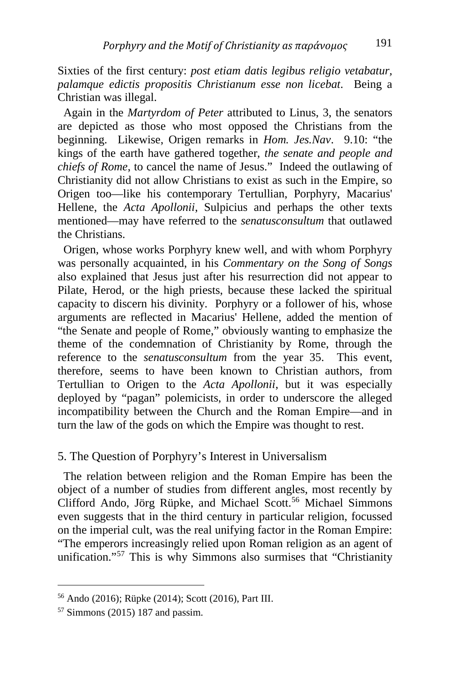Sixties of the first century: *post etiam datis legibus religio vetabatur, palamque edictis propositis Christianum esse non licebat*. Being a Christian was illegal.

 Again in the *Martyrdom of Peter* attributed to Linus, 3, the senators are depicted as those who most opposed the Christians from the beginning. Likewise, Origen remarks in *Hom. Jes.Nav*. 9.10: "the kings of the earth have gathered together, *the senate and people and chiefs of Rome*, to cancel the name of Jesus." Indeed the outlawing of Christianity did not allow Christians to exist as such in the Empire, so Origen too—like his contemporary Tertullian, Porphyry, Macarius' Hellene, the *Acta Apollonii*, Sulpicius and perhaps the other texts mentioned—may have referred to the *senatusconsultum* that outlawed the Christians.

 Origen, whose works Porphyry knew well, and with whom Porphyry was personally acquainted, in his *Commentary on the Song of Songs* also explained that Jesus just after his resurrection did not appear to Pilate, Herod, or the high priests, because these lacked the spiritual capacity to discern his divinity. Porphyry or a follower of his, whose arguments are reflected in Macarius' Hellene, added the mention of "the Senate and people of Rome," obviously wanting to emphasize the theme of the condemnation of Christianity by Rome, through the reference to the *senatusconsultum* from the year 35. This event, therefore, seems to have been known to Christian authors, from Tertullian to Origen to the *Acta Apollonii*, but it was especially deployed by "pagan" polemicists, in order to underscore the alleged incompatibility between the Church and the Roman Empire—and in turn the law of the gods on which the Empire was thought to rest.

#### 5. The Question of Porphyry's Interest in Universalism

 The relation between religion and the Roman Empire has been the object of a number of studies from different angles, most recently by Clifford Ando, Jörg Rüpke, and Michael Scott. [56](#page-19-0) Michael Simmons even suggests that in the third century in particular religion, focussed on the imperial cult, was the real unifying factor in the Roman Empire: "The emperors increasingly relied upon Roman religion as an agent of unification."<sup>[57](#page-19-1)</sup> This is why Simmons also surmises that "Christianity

<span id="page-19-0"></span><sup>56</sup> Ando (2016); Rüpke (2014); Scott (2016), Part III.

<span id="page-19-1"></span><sup>57</sup> Simmons (2015) 187 and passim.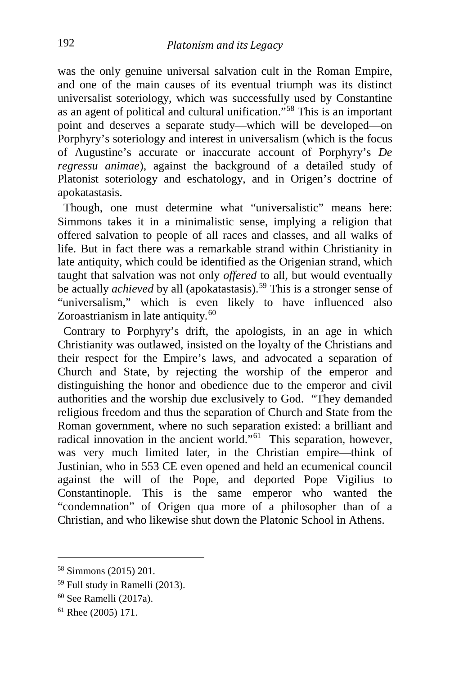was the only genuine universal salvation cult in the Roman Empire, and one of the main causes of its eventual triumph was its distinct universalist soteriology, which was successfully used by Constantine as an agent of political and cultural unification."[58](#page-20-0) This is an important point and deserves a separate study—which will be developed—on Porphyry's soteriology and interest in universalism (which is the focus of Augustine's accurate or inaccurate account of Porphyry's *De regressu animae*), against the background of a detailed study of Platonist soteriology and eschatology, and in Origen's doctrine of apokatastasis.

 Though, one must determine what "universalistic" means here: Simmons takes it in a minimalistic sense, implying a religion that offered salvation to people of all races and classes, and all walks of life. But in fact there was a remarkable strand within Christianity in late antiquity, which could be identified as the Origenian strand, which taught that salvation was not only *offered* to all, but would eventually be actually *achieved* by all (apokatastasis).<sup>[59](#page-20-1)</sup> This is a stronger sense of "universalism," which is even likely to have influenced also Zoroastrianism in late antiquity.<sup>[60](#page-20-2)</sup>

 Contrary to Porphyry's drift, the apologists, in an age in which Christianity was outlawed, insisted on the loyalty of the Christians and their respect for the Empire's laws, and advocated a separation of Church and State, by rejecting the worship of the emperor and distinguishing the honor and obedience due to the emperor and civil authorities and the worship due exclusively to God. "They demanded religious freedom and thus the separation of Church and State from the Roman government, where no such separation existed: a brilliant and radical innovation in the ancient world."<sup>[61](#page-20-3)</sup> This separation, however, was very much limited later, in the Christian empire—think of Justinian, who in 553 CE even opened and held an ecumenical council against the will of the Pope, and deported Pope Vigilius to Constantinople. This is the same emperor who wanted the "condemnation" of Origen qua more of a philosopher than of a Christian, and who likewise shut down the Platonic School in Athens.

<span id="page-20-0"></span><sup>58</sup> Simmons (2015) 201.

<span id="page-20-1"></span><sup>59</sup> Full study in Ramelli (2013).

<span id="page-20-2"></span><sup>60</sup> See Ramelli (2017a).

<span id="page-20-3"></span><sup>61</sup> Rhee (2005) 171.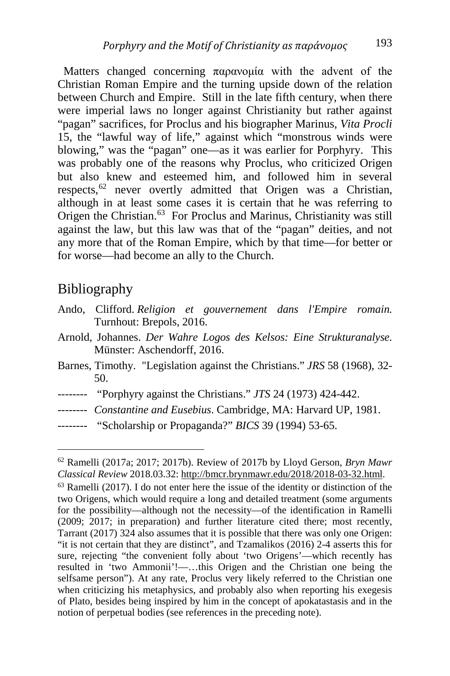Matters changed concerning παρανομία with the advent of the Christian Roman Empire and the turning upside down of the relation between Church and Empire. Still in the late fifth century, when there were imperial laws no longer against Christianity but rather against "pagan" sacrifices, for Proclus and his biographer Marinus, *Vita Procli* 15, the "lawful way of life," against which "monstrous winds were blowing," was the "pagan" one—as it was earlier for Porphyry. This was probably one of the reasons why Proclus, who criticized Origen but also knew and esteemed him, and followed him in several respects,  $62$  never overtly admitted that Origen was a Christian, although in at least some cases it is certain that he was referring to Origen the Christian.<sup>[63](#page-21-1)</sup> For Proclus and Marinus, Christianity was still against the law, but this law was that of the "pagan" deities, and not any more that of the Roman Empire, which by that time—for better or for worse—had become an ally to the Church.

### Bibliography

- Ando, Clifford. *Religion et gouvernement dans l'Empire romain.* Turnhout: Brepols, 2016.
- Arnold, Johannes. *Der Wahre Logos des Kelsos: Eine Strukturanalyse.*  Münster: Aschendorff, 2016.
- Barnes, Timothy. "Legislation against the Christians." *JRS* 58 (1968), 32- 50.
- -------- "Porphyry against the Christians." *JTS* 24 (1973) 424-442.
- -------- *Constantine and Eusebius*. Cambridge, MA: Harvard UP, 1981.
- -------- "Scholarship or Propaganda?" *BICS* 39 (1994) 53-65.

<span id="page-21-0"></span><sup>62</sup> Ramelli (2017a; 2017; 2017b). Review of 2017b by Lloyd Gerson, *Bryn Mawr Classical Review* 2018.03.32: [http://bmcr.brynmawr.edu/2018/2018-03-32.html.](http://bmcr.brynmawr.edu/2018/2018-03-32.html)

<span id="page-21-1"></span><sup>63</sup> Ramelli (2017). I do not enter here the issue of the identity or distinction of the two Origens, which would require a long and detailed treatment (some arguments for the possibility—although not the necessity—of the identification in Ramelli (2009; 2017; in preparation) and further literature cited there; most recently, Tarrant (2017) 324 also assumes that it is possible that there was only one Origen: "it is not certain that they are distinct", and Tzamalikos (2016) 2-4 asserts this for sure, rejecting "the convenient folly about 'two Origens'—which recently has resulted in 'two Ammonii'!—…this Origen and the Christian one being the selfsame person"). At any rate, Proclus very likely referred to the Christian one when criticizing his metaphysics, and probably also when reporting his exegesis of Plato, besides being inspired by him in the concept of apokatastasis and in the notion of perpetual bodies (see references in the preceding note).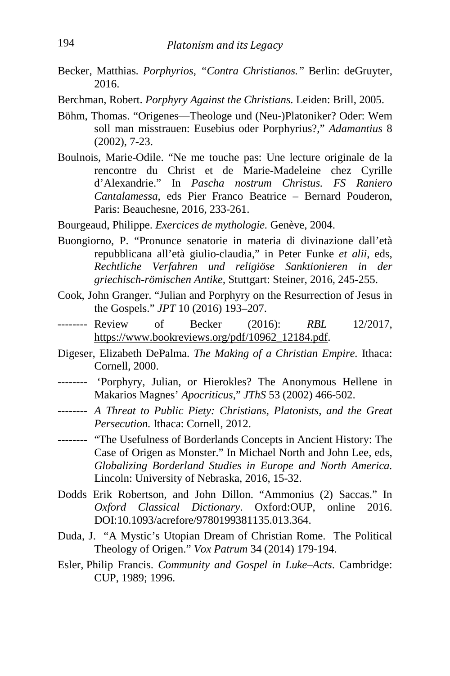- Becker, Matthias. *Porphyrios, "Contra Christianos."* Berlin: deGruyter, 2016.
- Berchman, Robert. *Porphyry Against the Christians.* Leiden: Brill, 2005.
- Böhm, Thomas. "Origenes—Theologe und (Neu-)Platoniker? Oder: Wem soll man misstrauen: Eusebius oder Porphyrius?," *Adamantius* 8 (2002), 7-23.
- Boulnois, Marie-Odile. "Ne me touche pas: Une lecture originale de la rencontre du Christ et de Marie-Madeleine chez Cyrille d'Alexandrie." In *Pascha nostrum Christus. FS Raniero Cantalamessa*, eds Pier Franco Beatrice – Bernard Pouderon, Paris: Beauchesne, 2016, 233-261.
- Bourgeaud, Philippe. *Exercices de mythologie.* Genève, 2004.
- Buongiorno, P. "Pronunce senatorie in materia di divinazione dall'età repubblicana all'età giulio-claudia," in Peter Funke *et alii*, eds, *Rechtliche Verfahren und religiöse Sanktionieren in der griechisch-römischen Antike,* Stuttgart: Steiner, 2016, 245-255.
- Cook, John Granger. "Julian and Porphyry on the Resurrection of Jesus in the Gospels." *JPT* 10 (2016) 193–207.
- -------- Review of Becker (2016): *RBL* 12/2017, https://www.bookreviews.org/pdf/10962\_12184.pdf.
- Digeser, Elizabeth DePalma. *The Making of a Christian Empire.* Ithaca: Cornell, 2000.
- -------- 'Porphyry, Julian, or Hierokles? The Anonymous Hellene in Makarios Magnes' *Apocriticus*," *JThS* 53 (2002) 466-502.
- -------- *A Threat to Public Piety: Christians, Platonists, and the Great Persecution.* Ithaca: Cornell, 2012.
- -------- "The Usefulness of Borderlands Concepts in Ancient History: The Case of Origen as Monster." In Michael North and John Lee, eds, *Globalizing Borderland Studies in Europe and North America.*  Lincoln: University of Nebraska, 2016, 15-32.
- Dodds Erik Robertson, and John Dillon. "Ammonius (2) Saccas." In *Oxford Classical Dictionary*. Oxford:OUP, online 2016. DOI:10.1093/acrefore/9780199381135.013.364.
- Duda, J. "A Mystic's Utopian Dream of Christian Rome. The Political Theology of Origen." *Vox Patrum* 34 (2014) 179-194.
- Esler, Philip Francis. *Community and Gospel in Luke–Acts*. Cambridge: CUP, 1989; 1996.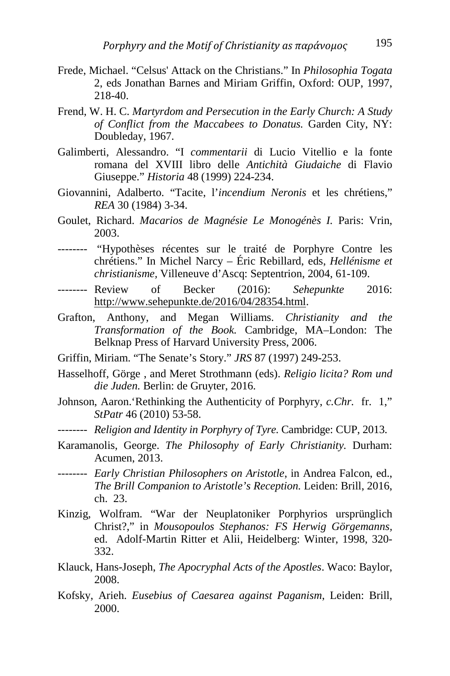- Frede, Michael. "Celsus' Attack on the Christians." In *Philosophia Togata* 2, eds Jonathan Barnes and Miriam Griffin, Oxford: OUP, 1997, 218-40.
- Frend, W. H. C. *Martyrdom and Persecution in the Early Church: A Study of Conflict from the Maccabees to Donatus.* Garden City, NY: Doubleday, 1967.
- Galimberti, Alessandro. "I *commentarii* di Lucio Vitellio e la fonte romana del XVIII libro delle *Antichità Giudaiche* di Flavio Giuseppe." *Historia* 48 (1999) 224-234.
- Giovannini, Adalberto. "Tacite, l'*incendium Neronis* et les chrétiens," *REA* 30 (1984) 3-34.
- Goulet, Richard. *Macarios de Magnésie Le Monogénès I.* Paris: Vrin, 2003.
- -------- "Hypothèses récentes sur le traité de Porphyre Contre les chrétiens." In Michel Narcy – Éric Rebillard, eds, *Hellénisme et christianisme,* Villeneuve d'Ascq: Septentrion, 2004, 61-109.
- -------- Review of Becker (2016): *Sehepunkte* 2016: [http://www.sehepunkte.de/2016/04/28354.html.](http://www.sehepunkte.de/2016/04/28354.html)
- Grafton, Anthony, and Megan Williams. *Christianity and the Transformation of the Book.* Cambridge, MA–London: The Belknap Press of Harvard University Press, 2006.
- Griffin, Miriam. "The Senate's Story." *JRS* 87 (1997) 249-253.
- Hasselhoff, Görge , and Meret Strothmann (eds). *Religio licita? Rom und die Juden.* Berlin: de Gruyter, 2016.
- Johnson, Aaron.'Rethinking the Authenticity of Porphyry, *c.Chr.* fr. 1," *StPatr* 46 (2010) 53-58.
- -------- *Religion and Identity in Porphyry of Tyre.* Cambridge: CUP, 2013.
- Karamanolis, George. *The Philosophy of Early Christianity.* Durham: Acumen, 2013.
- -------- *Early Christian Philosophers on Aristotle*, in Andrea Falcon, ed., *The Brill Companion to Aristotle's Reception.* Leiden: Brill, 2016, ch. 23.
- Kinzig, Wolfram. "War der Neuplatoniker Porphyrios ursprünglich Christ?," in *Mousopoulos Stephanos: FS Herwig Görgemanns,*  ed. Adolf-Martin Ritter et Alii, Heidelberg: Winter, 1998, 320- 332.
- Klauck, Hans-Joseph, *The Apocryphal Acts of the Apostles*. Waco: Baylor, 2008.
- Kofsky, Arieh. *Eusebius of Caesarea against Paganism*, Leiden: Brill, 2000.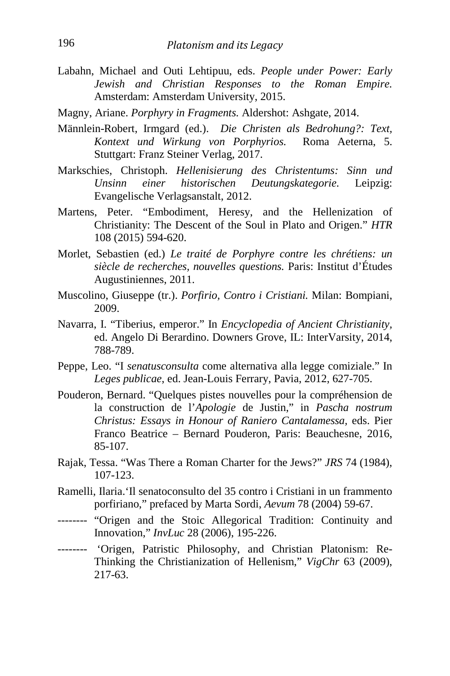- Labahn, Michael and Outi Lehtipuu, eds. *People under Power: Early Jewish and Christian Responses to the Roman Empire.* Amsterdam: Amsterdam University, 2015.
- Magny, Ariane. *Porphyry in Fragments.* Aldershot: Ashgate, 2014.
- Männlein-Robert, Irmgard (ed.). *Die Christen als Bedrohung?: Text, Kontext und Wirkung von Porphyrios.* Roma Aeterna, 5. Stuttgart: Franz Steiner Verlag, 2017.
- Markschies, Christoph. *Hellenisierung des Christentums: Sinn und Unsinn einer historischen Deutungskategorie.* Leipzig: Evangelische Verlagsanstalt, 2012.
- Martens, Peter. "Embodiment, Heresy, and the Hellenization of Christianity: The Descent of the Soul in Plato and Origen." *HTR* 108 (2015) 594-620.
- Morlet, Sebastien (ed.) *Le traité de Porphyre contre les chrétiens: un siècle de recherches, nouvelles questions.* Paris: Institut d'Études Augustiniennes, 2011.
- Muscolino, Giuseppe (tr.). *Porfirio, Contro i Cristiani.* Milan: Bompiani, 2009.
- Navarra, I. "Tiberius, emperor." In *Encyclopedia of Ancient Christianity,*  ed. Angelo Di Berardino. Downers Grove, IL: InterVarsity, 2014, 788-789.
- Peppe, Leo. "I *senatusconsulta* come alternativa alla legge comiziale." In *Leges publicae*, ed. Jean-Louis Ferrary, Pavia, 2012, 627-705.
- Pouderon, Bernard. "Quelques pistes nouvelles pour la compréhension de la construction de l'*Apologie* de Justin," in *Pascha nostrum Christus: Essays in Honour of Raniero Cantalamessa,* eds. Pier Franco Beatrice – Bernard Pouderon, Paris: Beauchesne, 2016, 85-107.
- Rajak, Tessa. "Was There a Roman Charter for the Jews?" *JRS* 74 (1984), 107-123.
- Ramelli, Ilaria.'Il senatoconsulto del 35 contro i Cristiani in un frammento porfiriano," prefaced by Marta Sordi, *Aevum* 78 (2004) 59-67.
- -------- "Origen and the Stoic Allegorical Tradition: Continuity and Innovation," *InvLuc* 28 (2006), 195-226.
- -------- 'Origen, Patristic Philosophy, and Christian Platonism: Re-Thinking the Christianization of Hellenism," *VigChr* 63 (2009), 217-63.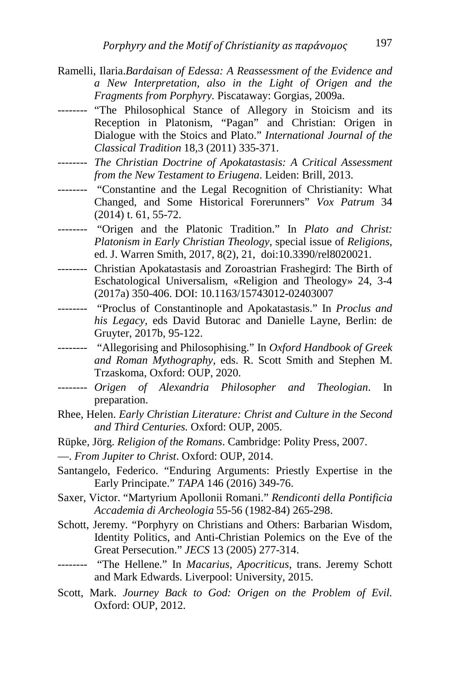- Ramelli, Ilaria.*Bardaisan of Edessa: A Reassessment of the Evidence and a New Interpretation, also in the Light of Origen and the Fragments from Porphyry.* Piscataway: Gorgias, 2009a.
- -------- "The Philosophical Stance of Allegory in Stoicism and its Reception in Platonism, "Pagan" and Christian: Origen in Dialogue with the Stoics and Plato." *International Journal of the Classical Tradition* 18,3 (2011) 335-371.
- -------- *The Christian Doctrine of Apokatastasis: A Critical Assessment from the New Testament to Eriugena*. Leiden: Brill, 2013.
- -------- "Constantine and the Legal Recognition of Christianity: What Changed, and Some Historical Forerunners" *Vox Patrum* 34 (2014) t. 61, 55-72.
- -------- "Origen and the Platonic Tradition." In *Plato and Christ: Platonism in Early Christian Theology*, special issue of *Religions*, ed. J. Warren Smith, 2017, 8(2), 21, doi:10.3390/rel8020021.
- -------- Christian Apokatastasis and Zoroastrian Frashegird: The Birth of Eschatological Universalism, «Religion and Theology» 24, 3-4 (2017a) 350-406. DOI: 10.1163/15743012-02403007
- -------- "Proclus of Constantinople and Apokatastasis." In *Proclus and his Legacy,* eds David Butorac and Danielle Layne, Berlin: de Gruyter, 2017b, 95-122.
- -------- "Allegorising and Philosophising." In *Oxford Handbook of Greek and Roman Mythography*, eds. R. Scott Smith and Stephen M. Trzaskoma, Oxford: OUP, 2020.
- -------- *Origen of Alexandria Philosopher and Theologian*. In preparation.
- Rhee, Helen. *Early Christian Literature: Christ and Culture in the Second and Third Centuries.* Oxford: OUP, 2005.
- Rüpke, Jörg. *Religion of the Romans*. Cambridge: Polity Press, 2007.
- —. *From Jupiter to Christ*. Oxford: OUP, 2014.
- Santangelo, Federico. "Enduring Arguments: Priestly Expertise in the Early Principate." *TAPA* 146 (2016) 349-76.
- Saxer, Victor. "Martyrium Apollonii Romani." *Rendiconti della Pontificia Accademia di Archeologia* 55-56 (1982-84) 265-298.
- Schott, Jeremy. "Porphyry on Christians and Others: Barbarian Wisdom, Identity Politics, and Anti-Christian Polemics on the Eve of the Great Persecution." *JECS* 13 (2005) 277-314.
- -------- "The Hellene." In *Macarius, Apocriticus*, trans. Jeremy Schott and Mark Edwards. Liverpool: University, 2015.
- Scott, Mark. *Journey Back to God: Origen on the Problem of Evil.*  Oxford: OUP, 2012.